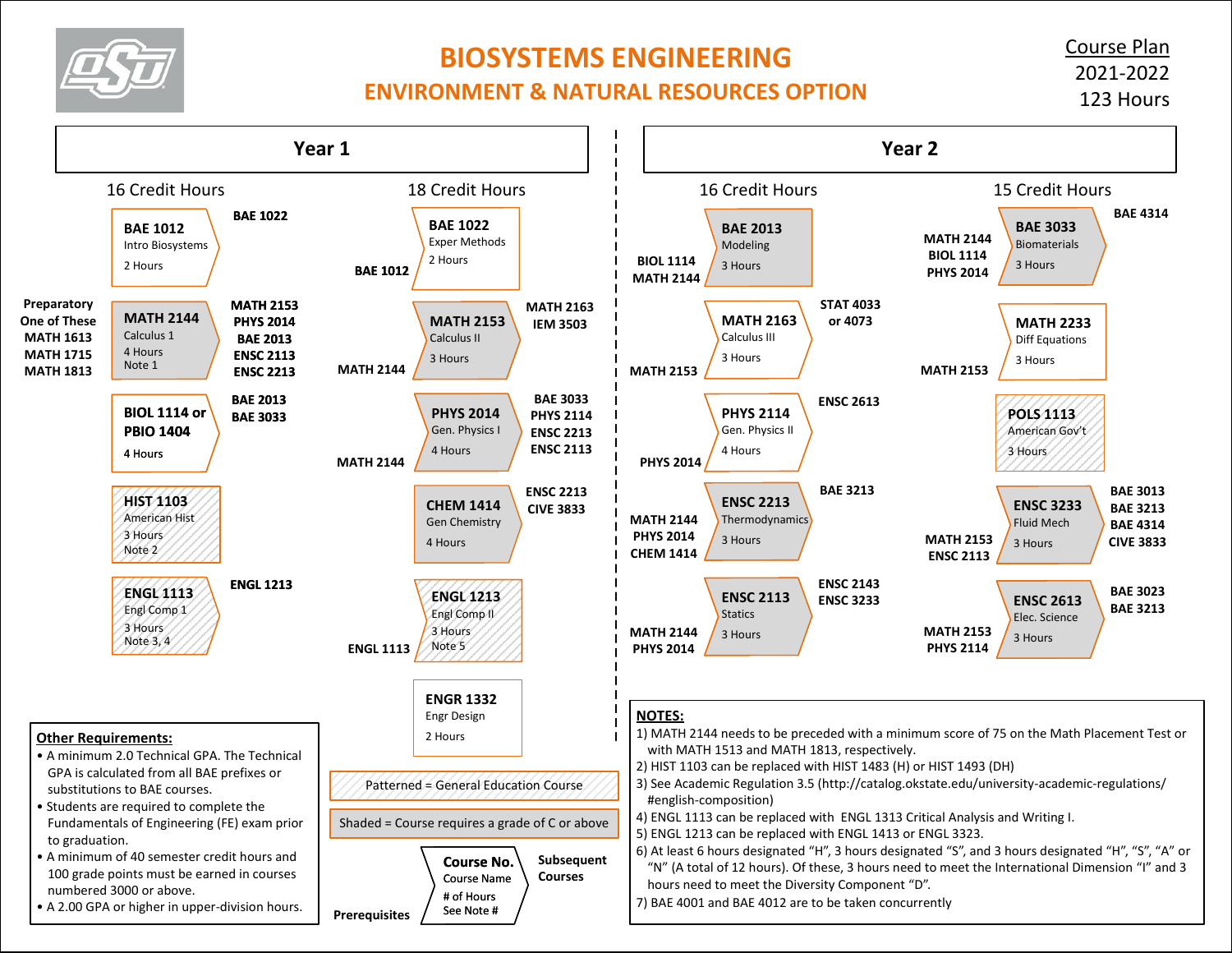

## **BIOSYSTEMS ENGINEERING**

## **ENVIRONMENT & NATURAL RESOURCES OPTION**

Course Plan 2021-2022 123 Hours

**BAE 4314**

**BAE 3013 BAE 3213 BAE 4314 CIVE 3833**

**BAE 3023 BAE 3213**

**POLS 1113** American Gov't 3 Hours

**ENSC 3233** Fluid Mech 3 Hours

**ENSC 2613** Elec. Science 3 Hours

**MATH 2233** Diff Equations 3 Hours

**BAE 3033** Biomaterials 3 Hours

**MATH 2153 PHYS 2114**

**MATH 2153 ENSC 2113**

**Year 2**

**MATH 2144 BIOL 1114 PHYS 2014**

**MATH 2153**